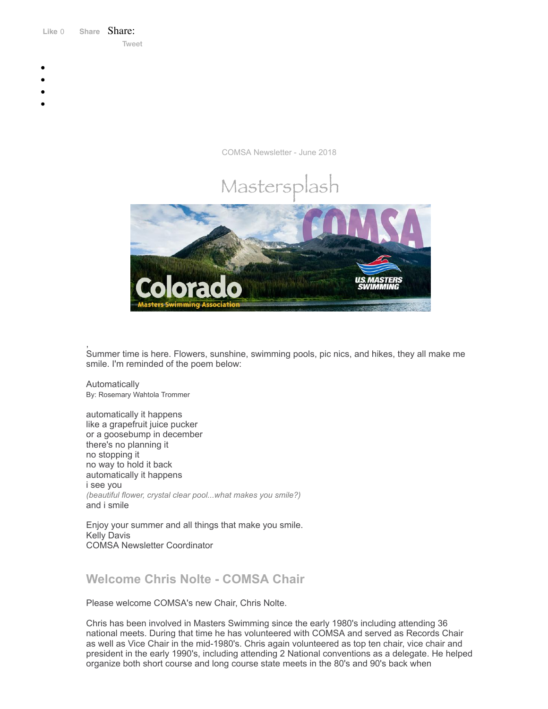Like 0 **[Share](https://www.facebook.com/sharer/sharer.php?u=https%3A%2F%2Fmyemail.constantcontact.com%2FCOMSA-Newsletter---June-2018.html%3Fsoid%3D1108936408185%26aid%3DiyU_HvljRDI&display=popup&ref=plugin&src=like&kid_directed_site=0&app_id=120295828008556)** Share: [Tweet](https://twitter.com/intent/tweet?original_referer=https%3A%2F%2Fmyemail.constantcontact.com%2FCOMSA-Newsletter---June-2018.html%3Fsoid%3D1108936408185%26aid%3DiyU_HvljRDI&ref_src=twsrc%5Etfw&text=COMSA%20Newsletter%20-%20June%202018&tw_p=tweetbutton&url=https%3A%2F%2Fmyemail.constantcontact.com%2FCOMSA-Newsletter---June-2018.html%3Fsoid%3D1108936408185%26aid%3DiyU_HvljRDI)

- 
- 
- 
- 
- 

COMSA Newsletter - June 2018



, Summer time is here. Flowers, sunshine, swimming pools, pic nics, and hikes, they all make me smile. I'm reminded of the poem below:

Automatically By: Rosemary Wahtola Trommer

automatically it happens like a grapefruit juice pucker or a goosebump in december there's no planning it no stopping it no way to hold it back automatically it happens i see you *(beautiful flower, crystal clear pool...what makes you smile?)* and i smile

Enjoy your summer and all things that make you smile. Kelly Davis COMSA Newsletter Coordinator

# **Welcome Chris Nolte - COMSA Chair**

Please welcome COMSA's new Chair, Chris Nolte.

Chris has been involved in Masters Swimming since the early 1980's including attending 36 national meets. During that time he has volunteered with COMSA and served as Records Chair as well as Vice Chair in the mid-1980's. Chris again volunteered as top ten chair, vice chair and president in the early 1990's, including attending 2 National conventions as a delegate. He helped organize both short course and long course state meets in the 80's and 90's back when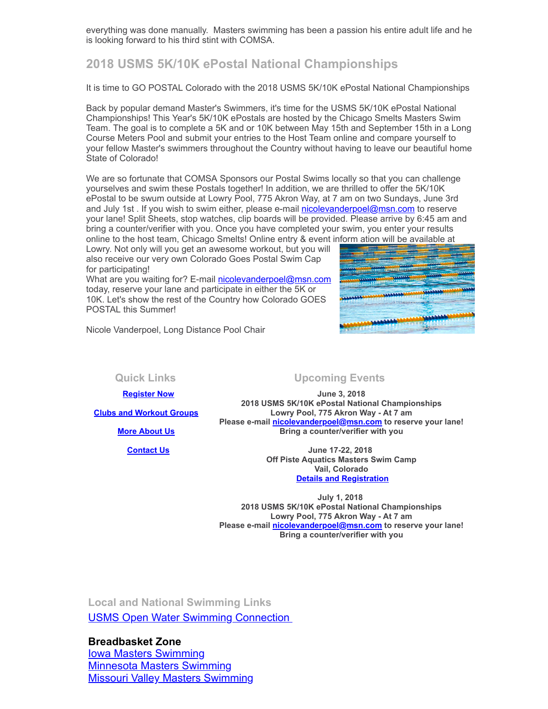everything was done manually. Masters swimming has been a passion his entire adult life and he is looking forward to his third stint with COMSA.

## **2018 USMS 5K/10K ePostal National Championships**

It is time to GO POSTAL Colorado with the 2018 USMS 5K/10K ePostal National Championships

Back by popular demand Master's Swimmers, it's time for the USMS 5K/10K ePostal National Championships! This Year's 5K/10K ePostals are hosted by the Chicago Smelts Masters Swim Team. The goal is to complete a 5K and or 10K between May 15th and September 15th in a Long Course Meters Pool and submit your entries to the Host Team online and compare yourself to your fellow Master's swimmers throughout the Country without having to leave our beautiful home State of Colorado!

We are so fortunate that COMSA Sponsors our Postal Swims locally so that you can challenge yourselves and swim these Postals together! In addition, we are thrilled to offer the 5K/10K ePostal to be swum outside at Lowry Pool, 775 Akron Way, at 7 am on two Sundays, June 3rd and July 1st . If you wish to swim either, please e-mail [nicolevanderpoel@msn.com](mailto:nicolevanderpoel@msn.com) to reserve your lane! Split Sheets, stop watches, clip boards will be provided. Please arrive by 6:45 am and bring a counter/verifier with you. Once you have completed your swim, you enter your results online to the host team, Chicago Smelts! Online entry & event inform ation will be available at

Lowry. Not only will you get an awesome workout, but you will also receive our very own Colorado Goes Postal Swim Cap for participating!

What are you waiting for? E-mail [nicolevanderpoel@msn.com](mailto:nicolevanderpoel@msn.com) today, reserve your lane and participate in either the 5K or 10K. Let's show the rest of the Country how Colorado GOES POSTAL this Summer!



Nicole Vanderpoel, Long Distance Pool Chair

 **[Register Now](http://www.usms.org/content/join_or_renew)**

**[Clubs and Workout Groups](http://comsa.org/clubs/index.html)**

**[More About Us](http://comsa.org/)**

 **[Contact Us](mailto:swimkdavis@gmail.com)**

### **Quick Links Upcoming Events**

**June 3, 2018 2018 USMS 5K/10K ePostal National Championships Lowry Pool, 775 Akron Way - At 7 am Please e-mail [nicolevanderpoel@msn.com](mailto:nicolevanderpoel@msn.com) to reserve your lane! Bring a counter/verifier with you**

> **June 17-22, 2018 Off Piste Aquatics Masters Swim Camp Vail, Colorado [Details and Registration](https://www.offpisteaquatics.com/what-is-off-piste-1)**

**July 1, 2018 2018 USMS 5K/10K ePostal National Championships Lowry Pool, 775 Akron Way - At 7 am Please e-mail [nicolevanderpoel@msn.com](mailto:nicolevanderpoel@msn.com) to reserve your lane! Bring a counter/verifier with you**

**Local and National Swimming Links** [USMS Open Water Swimming Connection](http://usopenwaterswimming.org/) 

**Breadbasket Zone** [Iowa Masters Swimming](http://www.iowamasters.org/) [Minnesota Masters Swimming](http://www.minnesotamasters.com/) [Missouri Valley Masters Swimming](https://movymasters.com/)